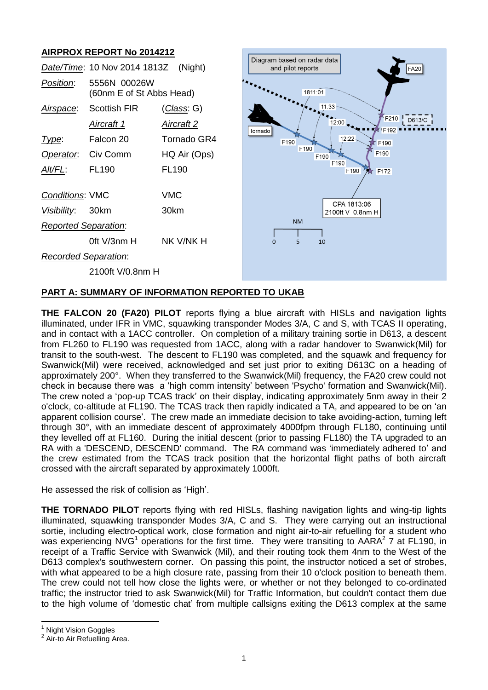## **AIRPROX REPORT No 2014212**

|                             | Date/Time: 10 Nov 2014 1813Z (Night)     |                    |  |  |
|-----------------------------|------------------------------------------|--------------------|--|--|
| <i>Position</i> :           | 5556N 00026W<br>(60nm E of St Abbs Head) |                    |  |  |
| Airspace:                   | Scottish FIR                             | <u>(Class</u> : G) |  |  |
|                             | <u>Aircraft 1</u>                        | <u>Aircraft 2</u>  |  |  |
| Type:                       | Falcon 20                                | Tornado GR4        |  |  |
| Operator. Civ Comm          |                                          | HQ Air (Ops)       |  |  |
| Alt/FL:                     | <b>FL190</b>                             | <b>FL190</b>       |  |  |
| <b>Conditions: VMC</b>      |                                          | VMC                |  |  |
| Visibility: 30km            |                                          | 30km               |  |  |
| <b>Reported Separation:</b> |                                          |                    |  |  |
|                             | 0ft V/3nm H                              | NK V/NK H          |  |  |
| <b>Recorded Separation:</b> |                                          |                    |  |  |
|                             | 2100ft V/0.8nm H                         |                    |  |  |



## **PART A: SUMMARY OF INFORMATION REPORTED TO UKAB**

**THE FALCON 20 (FA20) PILOT** reports flying a blue aircraft with HISLs and navigation lights illuminated, under IFR in VMC, squawking transponder Modes 3/A, C and S, with TCAS II operating, and in contact with a 1ACC controller. On completion of a military training sortie in D613, a descent from FL260 to FL190 was requested from 1ACC, along with a radar handover to Swanwick(Mil) for transit to the south-west. The descent to FL190 was completed, and the squawk and frequency for Swanwick(Mil) were received, acknowledged and set just prior to exiting D613C on a heading of approximately 200°. When they transferred to the Swanwick(Mil) frequency, the FA20 crew could not check in because there was a 'high comm intensity' between 'Psycho' formation and Swanwick(Mil). The crew noted a 'pop-up TCAS track' on their display, indicating approximately 5nm away in their 2 o'clock, co-altitude at FL190. The TCAS track then rapidly indicated a TA, and appeared to be on 'an apparent collision course'. The crew made an immediate decision to take avoiding-action, turning left through 30°, with an immediate descent of approximately 4000fpm through FL180, continuing until they levelled off at FL160. During the initial descent (prior to passing FL180) the TA upgraded to an RA with a 'DESCEND, DESCEND' command. The RA command was 'immediately adhered to' and the crew estimated from the TCAS track position that the horizontal flight paths of both aircraft crossed with the aircraft separated by approximately 1000ft.

He assessed the risk of collision as 'High'.

**THE TORNADO PILOT** reports flying with red HISLs, flashing navigation lights and wing-tip lights illuminated, squawking transponder Modes 3/A, C and S. They were carrying out an instructional sortie, including electro-optical work, close formation and night air-to-air refuelling for a student who was experiencing NVG<sup>1</sup> operations for the first time. They were transiting to AARA<sup>2</sup> 7 at FL190, in receipt of a Traffic Service with Swanwick (Mil), and their routing took them 4nm to the West of the D613 complex's southwestern corner. On passing this point, the instructor noticed a set of strobes, with what appeared to be a high closure rate, passing from their 10 o'clock position to beneath them. The crew could not tell how close the lights were, or whether or not they belonged to co-ordinated traffic; the instructor tried to ask Swanwick(Mil) for Traffic Information, but couldn't contact them due to the high volume of 'domestic chat' from multiple callsigns exiting the D613 complex at the same

 $\overline{\phantom{a}}$ 

<sup>1</sup> Night Vision Goggles

<sup>&</sup>lt;sup>2</sup> Air-to Air Refuelling Area.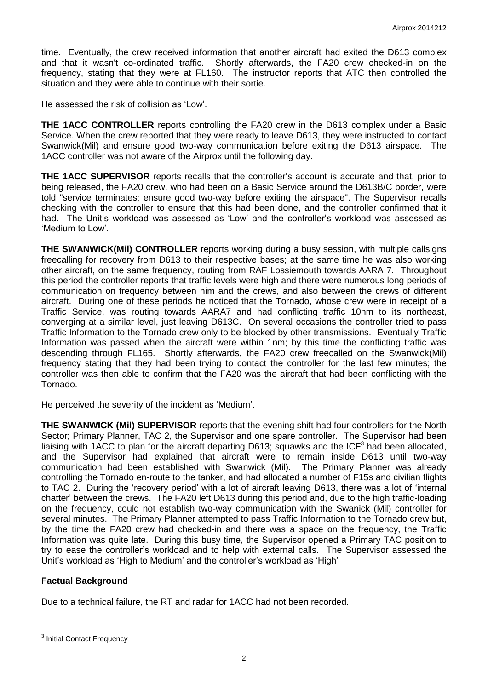time. Eventually, the crew received information that another aircraft had exited the D613 complex and that it wasn't co-ordinated traffic. Shortly afterwards, the FA20 crew checked-in on the frequency, stating that they were at FL160. The instructor reports that ATC then controlled the situation and they were able to continue with their sortie.

He assessed the risk of collision as 'Low'.

**THE 1ACC CONTROLLER** reports controlling the FA20 crew in the D613 complex under a Basic Service. When the crew reported that they were ready to leave D613, they were instructed to contact Swanwick(Mil) and ensure good two-way communication before exiting the D613 airspace. The 1ACC controller was not aware of the Airprox until the following day.

**THE 1ACC SUPERVISOR** reports recalls that the controller's account is accurate and that, prior to being released, the FA20 crew, who had been on a Basic Service around the D613B/C border, were told "service terminates; ensure good two-way before exiting the airspace". The Supervisor recalls checking with the controller to ensure that this had been done, and the controller confirmed that it had. The Unit's workload was assessed as 'Low' and the controller's workload was assessed as 'Medium to Low'.

**THE SWANWICK(Mil) CONTROLLER** reports working during a busy session, with multiple callsigns freecalling for recovery from D613 to their respective bases; at the same time he was also working other aircraft, on the same frequency, routing from RAF Lossiemouth towards AARA 7. Throughout this period the controller reports that traffic levels were high and there were numerous long periods of communication on frequency between him and the crews, and also between the crews of different aircraft. During one of these periods he noticed that the Tornado, whose crew were in receipt of a Traffic Service, was routing towards AARA7 and had conflicting traffic 10nm to its northeast, converging at a similar level, just leaving D613C. On several occasions the controller tried to pass Traffic Information to the Tornado crew only to be blocked by other transmissions. Eventually Traffic Information was passed when the aircraft were within 1nm; by this time the conflicting traffic was descending through FL165. Shortly afterwards, the FA20 crew freecalled on the Swanwick(Mil) frequency stating that they had been trying to contact the controller for the last few minutes; the controller was then able to confirm that the FA20 was the aircraft that had been conflicting with the Tornado.

He perceived the severity of the incident as 'Medium'.

**THE SWANWICK (Mil) SUPERVISOR** reports that the evening shift had four controllers for the North Sector; Primary Planner, TAC 2, the Supervisor and one spare controller. The Supervisor had been liaising with 1ACC to plan for the aircraft departing D613; squawks and the ICF<sup>3</sup> had been allocated, and the Supervisor had explained that aircraft were to remain inside D613 until two-way communication had been established with Swanwick (Mil). The Primary Planner was already controlling the Tornado en-route to the tanker, and had allocated a number of F15s and civilian flights to TAC 2. During the 'recovery period' with a lot of aircraft leaving D613, there was a lot of 'internal chatter' between the crews. The FA20 left D613 during this period and, due to the high traffic-loading on the frequency, could not establish two-way communication with the Swanick (Mil) controller for several minutes. The Primary Planner attempted to pass Traffic Information to the Tornado crew but, by the time the FA20 crew had checked-in and there was a space on the frequency, the Traffic Information was quite late. During this busy time, the Supervisor opened a Primary TAC position to try to ease the controller's workload and to help with external calls. The Supervisor assessed the Unit's workload as 'High to Medium' and the controller's workload as 'High'

#### **Factual Background**

Due to a technical failure, the RT and radar for 1ACC had not been recorded.

 $\overline{a}$ 

<sup>&</sup>lt;sup>3</sup> Initial Contact Frequency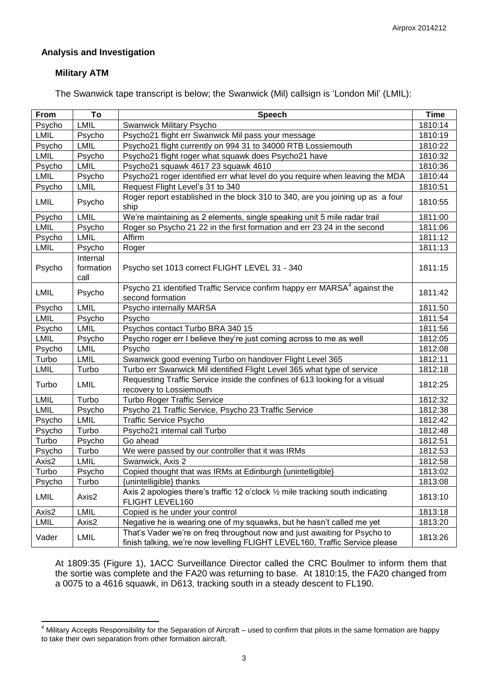## **Analysis and Investigation**

## **Military ATM**

The Swanwick tape transcript is below; the Swanwick (Mil) callsign is 'London Mil' (LMIL):

| <b>From</b> | To                            | <b>Speech</b>                                                                                                                                            | <b>Time</b> |
|-------------|-------------------------------|----------------------------------------------------------------------------------------------------------------------------------------------------------|-------------|
| Psycho      | LMIL                          | Swanwick Military Psycho                                                                                                                                 | 1810:14     |
| <b>LMIL</b> | Psycho                        | Psycho21 flight err Swanwick Mil pass your message                                                                                                       | 1810:19     |
| Psycho      | LMIL                          | Psycho21 flight currently on 994 31 to 34000 RTB Lossiemouth                                                                                             | 1810:22     |
| <b>LMIL</b> | Psycho                        | Psycho21 flight roger what squawk does Psycho21 have                                                                                                     | 1810:32     |
| Psycho      | LMIL                          | Psycho21 squawk 4617 23 squawk 4610                                                                                                                      | 1810:36     |
| LMIL        | Psycho                        | Psycho21 roger identified err what level do you require when leaving the MDA                                                                             | 1810:44     |
| Psycho      | LMIL                          | Request Flight Level's 31 to 340                                                                                                                         | 1810:51     |
| <b>LMIL</b> | Psycho                        | Roger report established in the block 310 to 340, are you joining up as a four<br>ship                                                                   | 1810:55     |
| Psycho      | LMIL                          | We're maintaining as 2 elements, single speaking unit 5 mile radar trail                                                                                 | 1811:00     |
| LMIL        | Psycho                        | Roger so Psycho 21 22 in the first formation and err 23 24 in the second                                                                                 | 1811:06     |
| Psycho      | LMIL                          | Affirm                                                                                                                                                   | 1811:12     |
| LMIL        | Psycho                        | Roger                                                                                                                                                    | 1811:13     |
| Psycho      | Internal<br>formation<br>call | Psycho set 1013 correct FLIGHT LEVEL 31 - 340                                                                                                            | 1811:15     |
| <b>LMIL</b> | Psycho                        | Psycho 21 identified Traffic Service confirm happy err MARSA <sup>4</sup> against the<br>second formation                                                | 1811:42     |
| Psycho      | LMIL                          | Psycho internally MARSA                                                                                                                                  | 1811:50     |
| LMIL        | Psycho                        | Psycho                                                                                                                                                   | 1811:54     |
| Psycho      | LMIL                          | Psychos contact Turbo BRA 340 15                                                                                                                         | 1811:56     |
| LMIL        | Psycho                        | Psycho roger err I believe they're just coming across to me as well                                                                                      | 1812:05     |
| Psycho      | LMIL                          | Psycho                                                                                                                                                   | 1812:08     |
| Turbo       | LMIL                          | Swanwick good evening Turbo on handover Flight Level 365                                                                                                 | 1812:11     |
| <b>LMIL</b> | Turbo                         | Turbo err Swanwick Mil identified Flight Level 365 what type of service                                                                                  | 1812:18     |
| Turbo       | <b>LMIL</b>                   | Requesting Traffic Service inside the confines of 613 looking for a visual<br>recovery to Lossiemouth                                                    | 1812:25     |
| LMIL        | Turbo                         | <b>Turbo Roger Traffic Service</b>                                                                                                                       | 1812:32     |
| LMIL        | Psycho                        | Psycho 21 Traffic Service, Psycho 23 Traffic Service                                                                                                     | 1812:38     |
| Psycho      | LMIL                          | <b>Traffic Service Psycho</b>                                                                                                                            | 1812:42     |
| Psycho      | Turbo                         | Psycho21 internal call Turbo                                                                                                                             | 1812:48     |
| Turbo       | Psycho                        | Go ahead                                                                                                                                                 | 1812:51     |
| Psycho      | Turbo                         | We were passed by our controller that it was IRMs                                                                                                        | 1812:53     |
| Axis2       | LMIL                          | Swanwick, Axis 2                                                                                                                                         | 1812:58     |
| Turbo       | Psycho                        | Copied thought that was IRMs at Edinburgh {unintelligible}                                                                                               | 1813:02     |
| Psycho      | Turbo                         | {unintelligible} thanks                                                                                                                                  | 1813:08     |
| LMIL        | Axis2                         | Axis 2 apologies there's traffic 12 o'clock $\frac{1}{2}$ mile tracking south indicating<br>FLIGHT LEVEL160                                              | 1813:10     |
| Axis2       | LMIL                          | Copied is he under your control                                                                                                                          | 1813:18     |
| LMIL        | Axis2                         | Negative he is wearing one of my squawks, but he hasn't called me yet                                                                                    | 1813:20     |
| Vader       | LMIL                          | That's Vader we're on freq throughout now and just awaiting for Psycho to<br>finish talking, we're now levelling FLIGHT LEVEL160, Traffic Service please | 1813:26     |

At 1809:35 (Figure 1), 1ACC Surveillance Director called the CRC Boulmer to inform them that the sortie was complete and the FA20 was returning to base. At 1810:15, the FA20 changed from a 0075 to a 4616 squawk, in D613, tracking south in a steady descent to FL190.

 4 Military Accepts Responsibility for the Separation of Aircraft – used to confirm that pilots in the same formation are happy to take their own separation from other formation aircraft.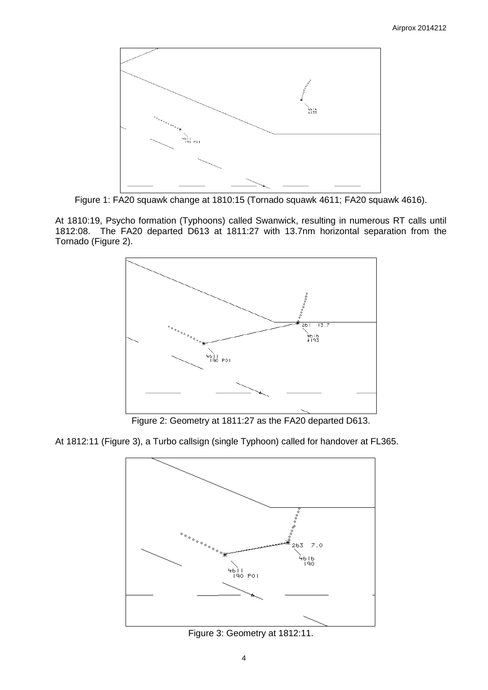

Figure 1: FA20 squawk change at 1810:15 (Tornado squawk 4611; FA20 squawk 4616).

At 1810:19, Psycho formation (Typhoons) called Swanwick, resulting in numerous RT calls until 1812:08. The FA20 departed D613 at 1811:27 with 13.7nm horizontal separation from the Tornado (Figure 2).



Figure 2: Geometry at 1811:27 as the FA20 departed D613.

At 1812:11 (Figure 3), a Turbo callsign (single Typhoon) called for handover at FL365.



Figure 3: Geometry at 1812:11.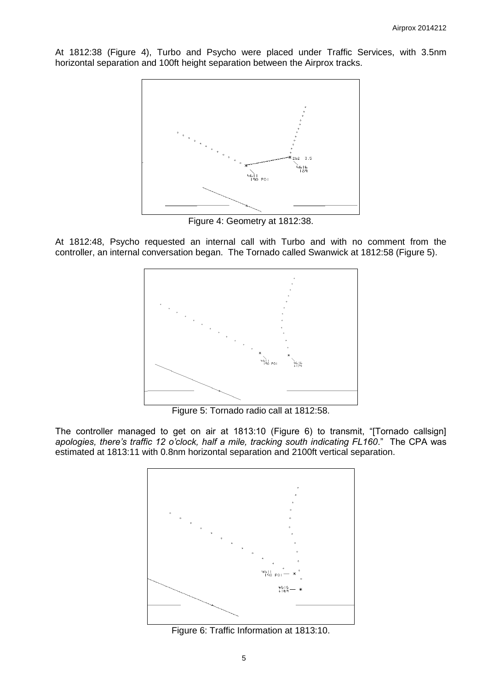At 1812:38 (Figure 4), Turbo and Psycho were placed under Traffic Services, with 3.5nm horizontal separation and 100ft height separation between the Airprox tracks.



Figure 4: Geometry at 1812:38.

At 1812:48, Psycho requested an internal call with Turbo and with no comment from the controller, an internal conversation began. The Tornado called Swanwick at 1812:58 (Figure 5).



Figure 5: Tornado radio call at 1812:58.

The controller managed to get on air at 1813:10 (Figure 6) to transmit, "[Tornado callsign] *apologies, there's traffic 12 o'clock, half a mile, tracking south indicating FL160*." The CPA was estimated at 1813:11 with 0.8nm horizontal separation and 2100ft vertical separation.



Figure 6: Traffic Information at 1813:10.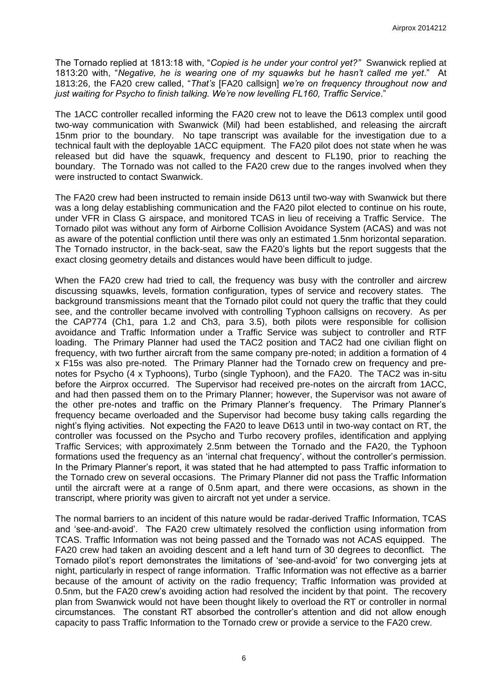The Tornado replied at 1813:18 with, "*Copied is he under your control yet?"* Swanwick replied at 1813:20 with, "*Negative, he is wearing one of my squawks but he hasn't called me yet*." At 1813:26, the FA20 crew called, "*That's* [FA20 callsign] *we're on frequency throughout now and just waiting for Psycho to finish talking. We're now levelling FL160, Traffic Service*."

The 1ACC controller recalled informing the FA20 crew not to leave the D613 complex until good two-way communication with Swanwick (Mil) had been established, and releasing the aircraft 15nm prior to the boundary. No tape transcript was available for the investigation due to a technical fault with the deployable 1ACC equipment. The FA20 pilot does not state when he was released but did have the squawk, frequency and descent to FL190, prior to reaching the boundary. The Tornado was not called to the FA20 crew due to the ranges involved when they were instructed to contact Swanwick.

The FA20 crew had been instructed to remain inside D613 until two-way with Swanwick but there was a long delay establishing communication and the FA20 pilot elected to continue on his route, under VFR in Class G airspace, and monitored TCAS in lieu of receiving a Traffic Service. The Tornado pilot was without any form of Airborne Collision Avoidance System (ACAS) and was not as aware of the potential confliction until there was only an estimated 1.5nm horizontal separation. The Tornado instructor, in the back-seat, saw the FA20's lights but the report suggests that the exact closing geometry details and distances would have been difficult to judge.

When the FA20 crew had tried to call, the frequency was busy with the controller and aircrew discussing squawks, levels, formation configuration, types of service and recovery states. The background transmissions meant that the Tornado pilot could not query the traffic that they could see, and the controller became involved with controlling Typhoon callsigns on recovery. As per the CAP774 (Ch1, para 1.2 and Ch3, para 3.5), both pilots were responsible for collision avoidance and Traffic Information under a Traffic Service was subject to controller and RTF loading. The Primary Planner had used the TAC2 position and TAC2 had one civilian flight on frequency, with two further aircraft from the same company pre-noted; in addition a formation of 4 x F15s was also pre-noted. The Primary Planner had the Tornado crew on frequency and prenotes for Psycho (4 x Typhoons), Turbo (single Typhoon), and the FA20. The TAC2 was in-situ before the Airprox occurred. The Supervisor had received pre-notes on the aircraft from 1ACC, and had then passed them on to the Primary Planner; however, the Supervisor was not aware of the other pre-notes and traffic on the Primary Planner's frequency. The Primary Planner's frequency became overloaded and the Supervisor had become busy taking calls regarding the night's flying activities. Not expecting the FA20 to leave D613 until in two-way contact on RT, the controller was focussed on the Psycho and Turbo recovery profiles, identification and applying Traffic Services; with approximately 2.5nm between the Tornado and the FA20, the Typhoon formations used the frequency as an 'internal chat frequency', without the controller's permission. In the Primary Planner's report, it was stated that he had attempted to pass Traffic information to the Tornado crew on several occasions. The Primary Planner did not pass the Traffic Information until the aircraft were at a range of 0.5nm apart, and there were occasions, as shown in the transcript, where priority was given to aircraft not yet under a service.

The normal barriers to an incident of this nature would be radar-derived Traffic Information, TCAS and 'see-and-avoid'. The FA20 crew ultimately resolved the confliction using information from TCAS. Traffic Information was not being passed and the Tornado was not ACAS equipped. The FA20 crew had taken an avoiding descent and a left hand turn of 30 degrees to deconflict. The Tornado pilot's report demonstrates the limitations of 'see-and-avoid' for two converging jets at night, particularly in respect of range information. Traffic Information was not effective as a barrier because of the amount of activity on the radio frequency; Traffic Information was provided at 0.5nm, but the FA20 crew's avoiding action had resolved the incident by that point. The recovery plan from Swanwick would not have been thought likely to overload the RT or controller in normal circumstances. The constant RT absorbed the controller's attention and did not allow enough capacity to pass Traffic Information to the Tornado crew or provide a service to the FA20 crew.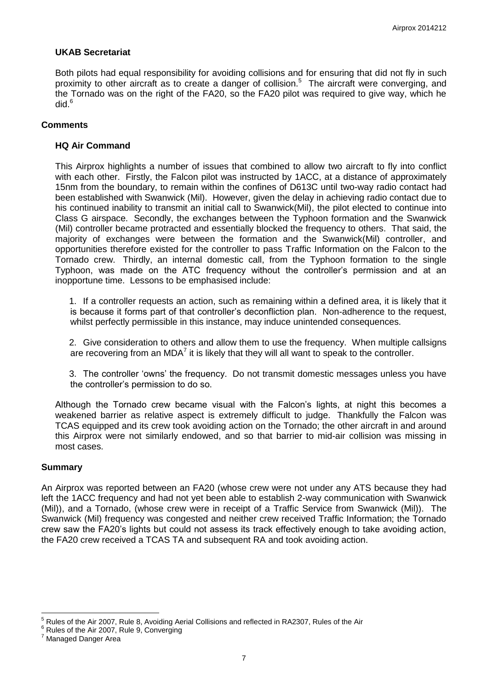#### **UKAB Secretariat**

Both pilots had equal responsibility for avoiding collisions and for ensuring that did not fly in such proximity to other aircraft as to create a danger of collision.<sup>5</sup> The aircraft were converging, and the Tornado was on the right of the FA20, so the FA20 pilot was required to give way, which he did. $^6$ 

#### **Comments**

#### **HQ Air Command**

This Airprox highlights a number of issues that combined to allow two aircraft to fly into conflict with each other. Firstly, the Falcon pilot was instructed by 1ACC, at a distance of approximately 15nm from the boundary, to remain within the confines of D613C until two-way radio contact had been established with Swanwick (Mil). However, given the delay in achieving radio contact due to his continued inability to transmit an initial call to Swanwick(Mil), the pilot elected to continue into Class G airspace. Secondly, the exchanges between the Typhoon formation and the Swanwick (Mil) controller became protracted and essentially blocked the frequency to others. That said, the majority of exchanges were between the formation and the Swanwick(Mil) controller, and opportunities therefore existed for the controller to pass Traffic Information on the Falcon to the Tornado crew. Thirdly, an internal domestic call, from the Typhoon formation to the single Typhoon, was made on the ATC frequency without the controller's permission and at an inopportune time. Lessons to be emphasised include:

1. If a controller requests an action, such as remaining within a defined area, it is likely that it is because it forms part of that controller's deconfliction plan. Non-adherence to the request, whilst perfectly permissible in this instance, may induce unintended consequences.

2. Give consideration to others and allow them to use the frequency. When multiple callsigns are recovering from an MDA $^7$  it is likely that they will all want to speak to the controller.

3. The controller 'owns' the frequency. Do not transmit domestic messages unless you have the controller's permission to do so.

Although the Tornado crew became visual with the Falcon's lights, at night this becomes a weakened barrier as relative aspect is extremely difficult to judge. Thankfully the Falcon was TCAS equipped and its crew took avoiding action on the Tornado; the other aircraft in and around this Airprox were not similarly endowed, and so that barrier to mid-air collision was missing in most cases.

#### **Summary**

An Airprox was reported between an FA20 (whose crew were not under any ATS because they had left the 1ACC frequency and had not yet been able to establish 2-way communication with Swanwick (Mil)), and a Tornado, (whose crew were in receipt of a Traffic Service from Swanwick (Mil)). The Swanwick (Mil) frequency was congested and neither crew received Traffic Information; the Tornado crew saw the FA20's lights but could not assess its track effectively enough to take avoiding action, the FA20 crew received a TCAS TA and subsequent RA and took avoiding action.

 5 Rules of the Air 2007, Rule 8, Avoiding Aerial Collisions and reflected in RA2307, Rules of the Air

<sup>&</sup>lt;sup>6</sup> Rules of the Air 2007, Rule 9, Converging

<sup>&</sup>lt;sup>7</sup> Managed Danger Area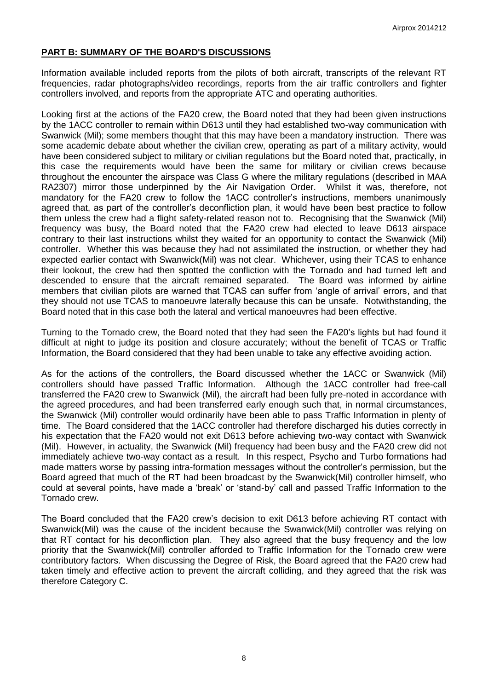### **PART B: SUMMARY OF THE BOARD'S DISCUSSIONS**

Information available included reports from the pilots of both aircraft, transcripts of the relevant RT frequencies, radar photographs/video recordings, reports from the air traffic controllers and fighter controllers involved, and reports from the appropriate ATC and operating authorities.

Looking first at the actions of the FA20 crew, the Board noted that they had been given instructions by the 1ACC controller to remain within D613 until they had established two-way communication with Swanwick (Mil); some members thought that this may have been a mandatory instruction. There was some academic debate about whether the civilian crew, operating as part of a military activity, would have been considered subject to military or civilian regulations but the Board noted that, practically, in this case the requirements would have been the same for military or civilian crews because throughout the encounter the airspace was Class G where the military regulations (described in MAA RA2307) mirror those underpinned by the Air Navigation Order. Whilst it was, therefore, not mandatory for the FA20 crew to follow the 1ACC controller's instructions, members unanimously agreed that, as part of the controller's deconfliction plan, it would have been best practice to follow them unless the crew had a flight safety-related reason not to. Recognising that the Swanwick (Mil) frequency was busy, the Board noted that the FA20 crew had elected to leave D613 airspace contrary to their last instructions whilst they waited for an opportunity to contact the Swanwick (Mil) controller. Whether this was because they had not assimilated the instruction, or whether they had expected earlier contact with Swanwick(Mil) was not clear. Whichever, using their TCAS to enhance their lookout, the crew had then spotted the confliction with the Tornado and had turned left and descended to ensure that the aircraft remained separated. The Board was informed by airline members that civilian pilots are warned that TCAS can suffer from 'angle of arrival' errors, and that they should not use TCAS to manoeuvre laterally because this can be unsafe. Notwithstanding, the Board noted that in this case both the lateral and vertical manoeuvres had been effective.

Turning to the Tornado crew, the Board noted that they had seen the FA20's lights but had found it difficult at night to judge its position and closure accurately; without the benefit of TCAS or Traffic Information, the Board considered that they had been unable to take any effective avoiding action.

As for the actions of the controllers, the Board discussed whether the 1ACC or Swanwick (Mil) controllers should have passed Traffic Information. Although the 1ACC controller had free-call transferred the FA20 crew to Swanwick (Mil), the aircraft had been fully pre-noted in accordance with the agreed procedures, and had been transferred early enough such that, in normal circumstances, the Swanwick (Mil) controller would ordinarily have been able to pass Traffic Information in plenty of time. The Board considered that the 1ACC controller had therefore discharged his duties correctly in his expectation that the FA20 would not exit D613 before achieving two-way contact with Swanwick (Mil). However, in actuality, the Swanwick (Mil) frequency had been busy and the FA20 crew did not immediately achieve two-way contact as a result. In this respect, Psycho and Turbo formations had made matters worse by passing intra-formation messages without the controller's permission, but the Board agreed that much of the RT had been broadcast by the Swanwick(Mil) controller himself, who could at several points, have made a 'break' or 'stand-by' call and passed Traffic Information to the Tornado crew.

The Board concluded that the FA20 crew's decision to exit D613 before achieving RT contact with Swanwick(Mil) was the cause of the incident because the Swanwick(Mil) controller was relying on that RT contact for his deconfliction plan. They also agreed that the busy frequency and the low priority that the Swanwick(Mil) controller afforded to Traffic Information for the Tornado crew were contributory factors. When discussing the Degree of Risk, the Board agreed that the FA20 crew had taken timely and effective action to prevent the aircraft colliding, and they agreed that the risk was therefore Category C.